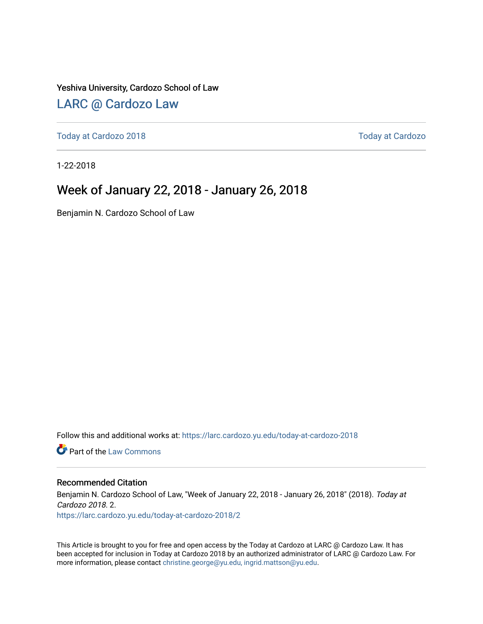Yeshiva University, Cardozo School of Law

## [LARC @ Cardozo Law](https://larc.cardozo.yu.edu/)

[Today at Cardozo 2018](https://larc.cardozo.yu.edu/today-at-cardozo-2018) [Today at Cardozo](https://larc.cardozo.yu.edu/today-at-cardozo) 

1-22-2018

## Week of January 22, 2018 - January 26, 2018

Benjamin N. Cardozo School of Law

Follow this and additional works at: [https://larc.cardozo.yu.edu/today-at-cardozo-2018](https://larc.cardozo.yu.edu/today-at-cardozo-2018?utm_source=larc.cardozo.yu.edu%2Ftoday-at-cardozo-2018%2F2&utm_medium=PDF&utm_campaign=PDFCoverPages)

**C** Part of the [Law Commons](http://network.bepress.com/hgg/discipline/578?utm_source=larc.cardozo.yu.edu%2Ftoday-at-cardozo-2018%2F2&utm_medium=PDF&utm_campaign=PDFCoverPages)

#### Recommended Citation

Benjamin N. Cardozo School of Law, "Week of January 22, 2018 - January 26, 2018" (2018). Today at Cardozo 2018. 2. [https://larc.cardozo.yu.edu/today-at-cardozo-2018/2](https://larc.cardozo.yu.edu/today-at-cardozo-2018/2?utm_source=larc.cardozo.yu.edu%2Ftoday-at-cardozo-2018%2F2&utm_medium=PDF&utm_campaign=PDFCoverPages) 

This Article is brought to you for free and open access by the Today at Cardozo at LARC @ Cardozo Law. It has been accepted for inclusion in Today at Cardozo 2018 by an authorized administrator of LARC @ Cardozo Law. For more information, please contact [christine.george@yu.edu, ingrid.mattson@yu.edu](mailto:christine.george@yu.edu,%20ingrid.mattson@yu.edu).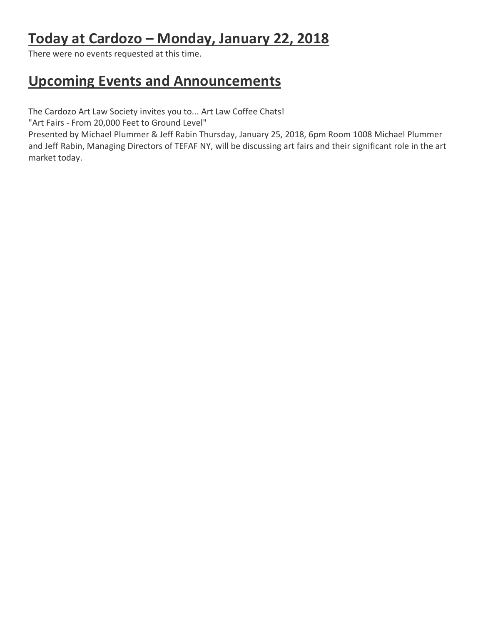# **Today at Cardozo – Monday, January 22, 2018**

There were no events requested at this time.

## **Upcoming Events and Announcements**

The Cardozo Art Law Society invites you to... Art Law Coffee Chats!

"Art Fairs - From 20,000 Feet to Ground Level"

Presented by Michael Plummer & Jeff Rabin Thursday, January 25, 2018, 6pm Room 1008 Michael Plummer and Jeff Rabin, Managing Directors of TEFAF NY, will be discussing art fairs and their significant role in the art market today.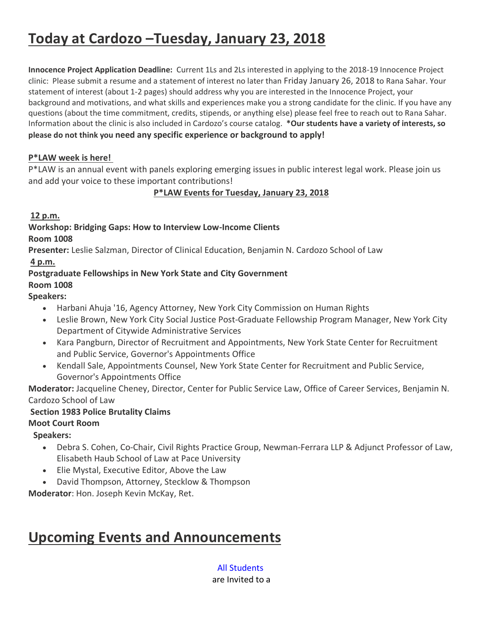# **Today at Cardozo –Tuesday, January 23, 2018**

**Innocence Project Application Deadline:** Current 1Ls and 2Ls interested in applying to the 2018-19 Innocence Project clinic: Please submit a resume and a statement of interest no later than Friday January 26, 2018 to Rana Sahar. Your statement of interest (about 1-2 pages) should address why you are interested in the Innocence Project, your background and motivations, and what skills and experiences make you a strong candidate for the clinic. If you have any questions (about the time commitment, credits, stipends, or anything else) please feel free to reach out to Rana Sahar. Information about the clinic is also included in Cardozo's course catalog. **\*Our students have a variety of interests, so please do not think you need any specific experience or background to apply!**

### **P\*LAW week is here!**

P\*LAW is an annual event with panels exploring emerging issues in public interest legal work. Please join us and add your voice to these important contributions!

**P\*LAW Events for Tuesday, January 23, 2018**

#### **12 p.m.**

## **Workshop: Bridging Gaps: How to Interview Low-Income Clients**

#### **Room 1008**

**Presenter:** Leslie Salzman, Director of Clinical Education, Benjamin N. Cardozo School of Law **4 p.m.**

#### **Postgraduate Fellowships in New York State and City Government Room 1008**

## **Speakers:**

- Harbani Ahuja '16, Agency Attorney, New York City Commission on Human Rights
- Leslie Brown, New York City Social Justice Post-Graduate Fellowship Program Manager, New York City Department of Citywide Administrative Services
- Kara Pangburn, Director of Recruitment and Appointments, New York State Center for Recruitment and Public Service, Governor's Appointments Office
- Kendall Sale, Appointments Counsel, New York State Center for Recruitment and Public Service, Governor's Appointments Office

**Moderator:** Jacqueline Cheney, Director, Center for Public Service Law, Office of Career Services, Benjamin N. Cardozo School of Law

## **Section 1983 Police Brutality Claims**

## **Moot Court Room**

**Speakers:**

- Debra S. Cohen, Co-Chair, Civil Rights Practice Group, Newman-Ferrara LLP & Adjunct Professor of Law, Elisabeth Haub School of Law at Pace University
- Elie Mystal, Executive Editor, Above the Law
- David Thompson, Attorney, Stecklow & Thompson

**Moderator**: Hon. Joseph Kevin McKay, Ret.

## **Upcoming Events and Announcements**

## All Students

are Invited to a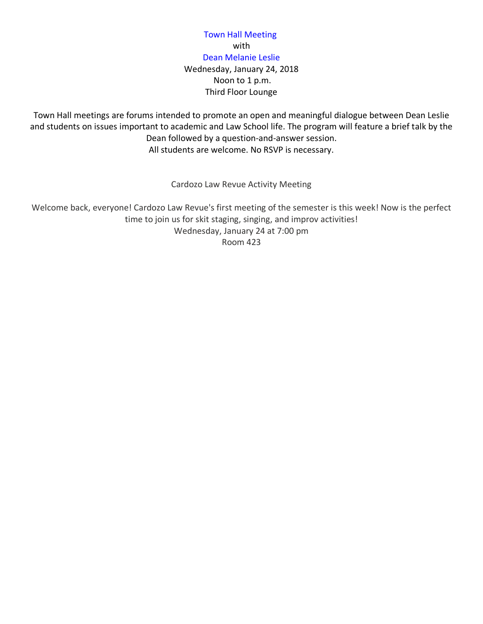#### Town Hall Meeting with Dean Melanie Leslie Wednesday, January 24, 2018 Noon to 1 p.m. Third Floor Lounge

Town Hall meetings are forums intended to promote an open and meaningful dialogue between Dean Leslie and students on issues important to academic and Law School life. The program will feature a brief talk by the Dean followed by a question-and-answer session. All students are welcome. No RSVP is necessary.

Cardozo Law Revue Activity Meeting

Welcome back, everyone! Cardozo Law Revue's first meeting of the semester is this week! Now is the perfect time to join us for skit staging, singing, and improv activities! Wednesday, January 24 at 7:00 pm Room 423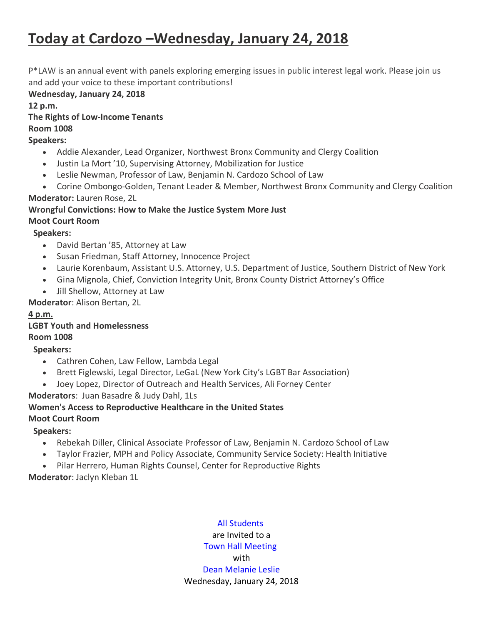# **Today at Cardozo –Wednesday, January 24, 2018**

P\*LAW is an annual event with panels exploring emerging issues in public interest legal work. Please join us and add your voice to these important contributions!

**Wednesday, January 24, 2018**

**12 p.m. The Rights of Low-Income Tenants Room 1008 Speakers:**

- Addie Alexander, Lead Organizer, Northwest Bronx Community and Clergy Coalition
- Justin La Mort '10, Supervising Attorney, Mobilization for Justice
- Leslie Newman, Professor of Law, Benjamin N. Cardozo School of Law
- Corine Ombongo-Golden, Tenant Leader & Member, Northwest Bronx Community and Clergy Coalition **Moderator:** Lauren Rose, 2L

#### **Wrongful Convictions: How to Make the Justice System More Just Moot Court Room**

#### **Speakers:**

- David Bertan '85, Attorney at Law
- Susan Friedman, Staff Attorney, Innocence Project
- Laurie Korenbaum, Assistant U.S. Attorney, U.S. Department of Justice, Southern District of New York
- Gina Mignola, Chief, Conviction Integrity Unit, Bronx County District Attorney's Office
- Jill Shellow, Attorney at Law

**Moderator**: Alison Bertan, 2L

#### **4 p.m.**

#### **LGBT Youth and Homelessness Room 1008**

### **Speakers:**

- Cathren Cohen, Law Fellow, Lambda Legal
- Brett Figlewski, Legal Director, LeGaL (New York City's LGBT Bar Association)
- Joey Lopez, Director of Outreach and Health Services, Ali Forney Center

#### **Moderators**: Juan Basadre & Judy Dahl, 1Ls

#### **Women's Access to Reproductive Healthcare in the United States**

#### **Moot Court Room**

#### **Speakers:**

- Rebekah Diller, Clinical Associate Professor of Law, Benjamin N. Cardozo School of Law
- Taylor Frazier, MPH and Policy Associate, Community Service Society: Health Initiative
- Pilar Herrero, Human Rights Counsel, Center for Reproductive Rights

**Moderator**: Jaclyn Kleban 1L

### All Students are Invited to a Town Hall Meeting with Dean Melanie Leslie Wednesday, January 24, 2018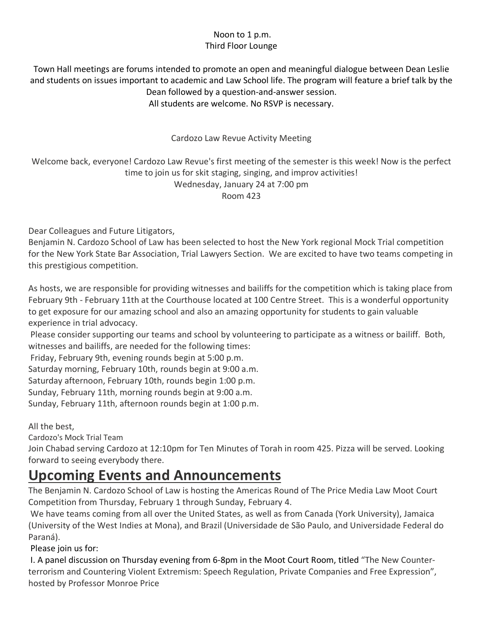#### Noon to 1 p.m. Third Floor Lounge

Town Hall meetings are forums intended to promote an open and meaningful dialogue between Dean Leslie and students on issues important to academic and Law School life. The program will feature a brief talk by the Dean followed by a question-and-answer session. All students are welcome. No RSVP is necessary.

### Cardozo Law Revue Activity Meeting

Welcome back, everyone! Cardozo Law Revue's first meeting of the semester is this week! Now is the perfect time to join us for skit staging, singing, and improv activities! Wednesday, January 24 at 7:00 pm Room 423

Dear Colleagues and Future Litigators,

Benjamin N. Cardozo School of Law has been selected to host the New York regional Mock Trial competition for the New York State Bar Association, Trial Lawyers Section. We are excited to have two teams competing in this prestigious competition.

As hosts, we are responsible for providing witnesses and bailiffs for the competition which is taking place from February 9th - February 11th at the Courthouse located at 100 Centre Street. This is a wonderful opportunity to get exposure for our amazing school and also an amazing opportunity for students to gain valuable experience in trial advocacy.

Please consider supporting our teams and school by volunteering to participate as a witness or bailiff. Both, witnesses and bailiffs, are needed for the following times:

Friday, February 9th, evening rounds begin at 5:00 p.m.

Saturday morning, February 10th, rounds begin at 9:00 a.m.

Saturday afternoon, February 10th, rounds begin 1:00 p.m.

Sunday, February 11th, morning rounds begin at 9:00 a.m.

Sunday, February 11th, afternoon rounds begin at 1:00 p.m.

All the best,

Cardozo's Mock Trial Team

Join Chabad serving Cardozo at 12:10pm for Ten Minutes of Torah in room 425. Pizza will be served. Looking forward to seeing everybody there.

## **Upcoming Events and Announcements**

The Benjamin N. Cardozo School of Law is hosting the Americas Round of The Price Media Law Moot Court Competition from Thursday, February 1 through Sunday, February 4.

We have teams coming from all over the United States, as well as from Canada (York University), Jamaica (University of the West Indies at Mona), and Brazil (Universidade de São Paulo, and Universidade Federal do Paraná).

Please join us for:

I. A panel discussion on Thursday evening from 6-8pm in the Moot Court Room, titled "The New Counterterrorism and Countering Violent Extremism: Speech Regulation, Private Companies and Free Expression", hosted by Professor Monroe Price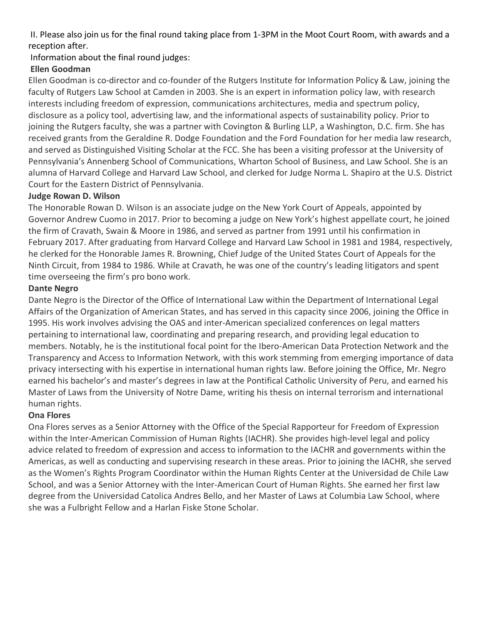II. Please also join us for the final round taking place from 1-3PM in the Moot Court Room, with awards and a reception after.

### Information about the final round judges:

#### **Ellen Goodman**

Ellen Goodman is co-director and co-founder of the Rutgers Institute for Information Policy & Law, joining the faculty of Rutgers Law School at Camden in 2003. She is an expert in information policy law, with research interests including freedom of expression, communications architectures, media and spectrum policy, disclosure as a policy tool, advertising law, and the informational aspects of sustainability policy. Prior to joining the Rutgers faculty, she was a partner with Covington & Burling LLP, a Washington, D.C. firm. She has received grants from the Geraldine R. Dodge Foundation and the Ford Foundation for her media law research, and served as Distinguished Visiting Scholar at the FCC. She has been a visiting professor at the University of Pennsylvania's Annenberg School of Communications, Wharton School of Business, and Law School. She is an alumna of Harvard College and Harvard Law School, and clerked for Judge Norma L. Shapiro at the U.S. District Court for the Eastern District of Pennsylvania.

#### **Judge Rowan D. Wilson**

The Honorable Rowan D. Wilson is an associate judge on the New York Court of Appeals, appointed by Governor Andrew Cuomo in 2017. Prior to becoming a judge on New York's highest appellate court, he joined the firm of Cravath, Swain & Moore in 1986, and served as partner from 1991 until his confirmation in February 2017. After graduating from Harvard College and Harvard Law School in 1981 and 1984, respectively, he clerked for the Honorable James R. Browning, Chief Judge of the United States Court of Appeals for the Ninth Circuit, from 1984 to 1986. While at Cravath, he was one of the country's leading litigators and spent time overseeing the firm's pro bono work.

#### **Dante Negro**

Dante Negro is the Director of the Office of International Law within the Department of International Legal Affairs of the Organization of American States, and has served in this capacity since 2006, joining the Office in 1995. His work involves advising the OAS and inter-American specialized conferences on legal matters pertaining to international law, coordinating and preparing research, and providing legal education to members. Notably, he is the institutional focal point for the Ibero-American Data Protection Network and the Transparency and Access to Information Network, with this work stemming from emerging importance of data privacy intersecting with his expertise in international human rights law. Before joining the Office, Mr. Negro earned his bachelor's and master's degrees in law at the Pontifical Catholic University of Peru, and earned his Master of Laws from the University of Notre Dame, writing his thesis on internal terrorism and international human rights.

#### **Ona Flores**

Ona Flores serves as a Senior Attorney with the Office of the Special Rapporteur for Freedom of Expression within the Inter-American Commission of Human Rights (IACHR). She provides high-level legal and policy advice related to freedom of expression and access to information to the IACHR and governments within the Americas, as well as conducting and supervising research in these areas. Prior to joining the IACHR, she served as the Women's Rights Program Coordinator within the Human Rights Center at the Universidad de Chile Law School, and was a Senior Attorney with the Inter-American Court of Human Rights. She earned her first law degree from the Universidad Catolica Andres Bello, and her Master of Laws at Columbia Law School, where she was a Fulbright Fellow and a Harlan Fiske Stone Scholar.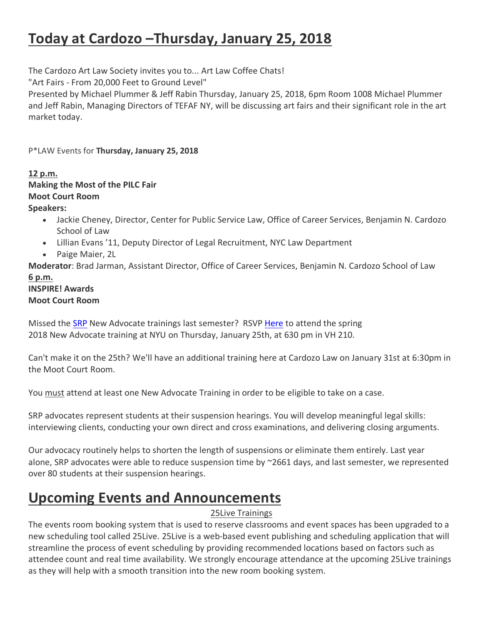# **Today at Cardozo –Thursday, January 25, 2018**

The Cardozo Art Law Society invites you to... Art Law Coffee Chats!

"Art Fairs - From 20,000 Feet to Ground Level"

Presented by Michael Plummer & Jeff Rabin Thursday, January 25, 2018, 6pm Room 1008 Michael Plummer and Jeff Rabin, Managing Directors of TEFAF NY, will be discussing art fairs and their significant role in the art market today.

P\*LAW Events for **Thursday, January 25, 2018**

## **12 p.m.**

## **Making the Most of the PILC Fair**

### **Moot Court Room**

#### **Speakers:**

- Jackie Cheney, Director, Center for Public Service Law, Office of Career Services, Benjamin N. Cardozo School of Law
- Lillian Evans '11, Deputy Director of Legal Recruitment, NYC Law Department
- Paige Maier, 2L

**Moderator**: Brad Jarman, Assistant Director, Office of Career Services, Benjamin N. Cardozo School of Law **6 p.m.**

### **INSPIRE! Awards Moot Court Room**

Missed the SRP New Advocate trainings last semester? RSVP Here to attend the spring 2018 New Advocate training at NYU on Thursday, January 25th, at 630 pm in VH 210.

Can't make it on the 25th? We'll have an additional training here at Cardozo Law on January 31st at 6:30pm in the Moot Court Room.

You must attend at least one New Advocate Training in order to be eligible to take on a case.

SRP advocates represent students at their suspension hearings. You will develop meaningful legal skills: interviewing clients, conducting your own direct and cross examinations, and delivering closing arguments.

Our advocacy routinely helps to shorten the length of suspensions or eliminate them entirely. Last year alone, SRP advocates were able to reduce suspension time by ~2661 days, and last semester, we represented over 80 students at their suspension hearings.

# **Upcoming Events and Announcements**

### 25Live Trainings

The events room booking system that is used to reserve classrooms and event spaces has been upgraded to a new scheduling tool called 25Live. 25Live is a web-based event publishing and scheduling application that will streamline the process of event scheduling by providing recommended locations based on factors such as attendee count and real time availability. We strongly encourage attendance at the upcoming 25Live trainings as they will help with a smooth transition into the new room booking system.